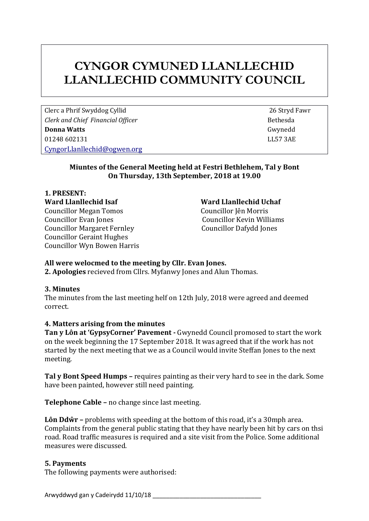# **CYNGOR CYMUNED LLANLLECHID LLANLLECHID COMMUNITY COUNCIL**

Clerc a Phrif Swyddog Cyllid 26 Stryd Fawr *Clerk and Chief Financial Officer* **Bethesda Bethesda Donna Watts** Gwynedd 01248 602131 LL57 3AE [CyngorLlanllechid@ogwen.org](mailto:CyngorLlanllechid@ogwen.org)

# **Miuntes of the General Meeting held at Festri Bethlehem, Tal y Bont On Thursday, 13th September, 2018 at 19.00**

**1. PRESENT: Ward Llanllechid Isaf Ward Llanllechid Uchaf**  Councillor Megan Tomos Councillor Jên Morris Councillor Evan Jones Councillor Kevin Williams Councillor Margaret Fernley Councillor Dafydd Jones Councillor Geraint Hughes Councillor Wyn Bowen Harris

# **All were welocmed to the meeting by Cllr. Evan Jones.**

**2. Apologies** recieved from Cllrs. Myfanwy Jones and Alun Thomas.

# **3. Minutes**

The minutes from the last meeting helf on 12th July, 2018 were agreed and deemed correct.

# **4. Matters arising from the minutes**

**Tan y Lôn at 'GypsyCorner' Pavement -** Gwynedd Council promosed to start the work on the week beginning the 17 September 2018. It was agreed that if the work has not started by the next meeting that we as a Council would invite Steffan Jones to the next meeting.

**Tal y Bont Speed Humps –** requires painting as their very hard to see in the dark. Some have been painted, however still need painting.

**Telephone Cable –** no change since last meeting.

**Lôn Ddŵr –** problems with speeding at the bottom of this road, it's a 30mph area. Complaints from the general public stating that they have nearly been hit by cars on thsi road. Road traffic measures is required and a site visit from the Police. Some additional measures were discussed.

# **5. Payments**

The following payments were authorised: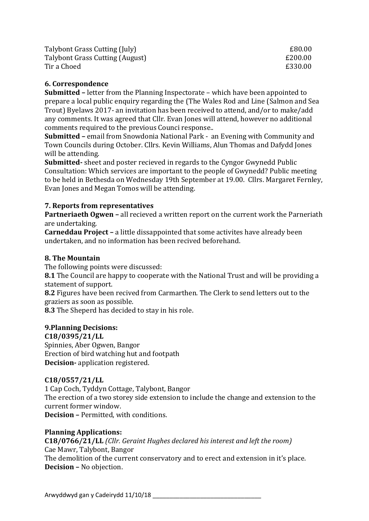Talybont Grass Cutting (July) **EXAM** Equation **EXA** Equation **EXA** Equation **EXA** Equation **EXA** Talybont Grass Cutting (August)  $\epsilon$  200.00 Tir a Choed **E330.00** 

#### **6. Correspondence**

**Submitted –** letter from the Planning Inspectorate – which have been appointed to prepare a local public enquiry regarding the (The Wales Rod and Line (Salmon and Sea Trout) Byelaws 2017- an invitation has been received to attend, and/or to make/add any comments. It was agreed that Cllr. Evan Jones will attend, however no additional comments required to the previous Counci response..

**Submitted –** email from Snowdonia National Park - an Evening with Community and Town Councils during October. Cllrs. Kevin Williams, Alun Thomas and Dafydd Jones will be attending.

**Submitted-** sheet and poster recieved in regards to the Cyngor Gwynedd Public Consultation: Which services are important to the people of Gwynedd? Public meeting to be held in Bethesda on Wednesday 19th September at 19.00. Cllrs. Margaret Fernley, Evan Jones and Megan Tomos will be attending.

### **7. Reports from representatives**

**Partneriaeth Ogwen –** all recieved a written report on the current work the Parneriath are undertaking.

**Carneddau Project –** a little dissappointed that some activites have already been undertaken, and no information has been recived beforehand.

#### **8. The Mountain**

The following points were discussed:

**8.1** The Council are happy to cooperate with the National Trust and will be providing a statement of support.

**8.2** Figures have been recived from Carmarthen. The Clerk to send letters out to the graziers as soon as possible.

**8.3** The Sheperd has decided to stay in his role.

#### **9.Planning Decisions:**

**C18/0395/21/LL**

Spinnies, Aber Ogwen, Bangor Erection of bird watching hut and footpath **Decision-** application registered.

#### **C18/0557/21/LL**

1 Cap Coch, Tyddyn Cottage, Talybont, Bangor The erection of a two storey side extension to include the change and extension to the current former window. **Decision –** Permitted, with conditions.

#### **Planning Applications:**

**C18/0766/21/LL** *(Cllr. Geraint Hughes declared his interest and left the room)* Cae Mawr, Talybont, Bangor The demolition of the current conservatory and to erect and extension in it's place. **Decision –** No objection.